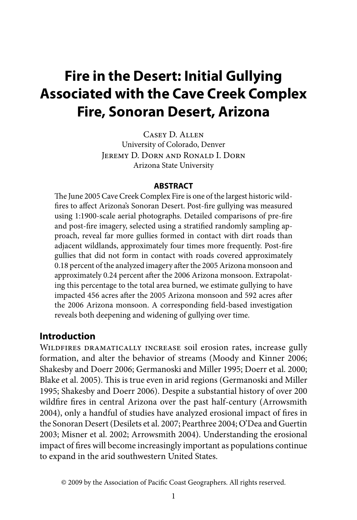# **Fire in the Desert: Initial Gullying Associated with the Cave Creek Complex Fire, Sonoran Desert, Arizona**

Casey D. Allen University of Colorado, Denver Jeremy D. Dorn and Ronald I. Dorn Arizona State University

#### **ABSTRACT**

The June 2005 Cave Creek Complex Fire is one of the largest historic wildfires to affect Arizona's Sonoran Desert. Post-fire gullying was measured using 1:1900-scale aerial photographs. Detailed comparisons of pre-fire and post-fire imagery, selected using a stratified randomly sampling approach, reveal far more gullies formed in contact with dirt roads than adjacent wildlands, approximately four times more frequently. Post-fire gullies that did not form in contact with roads covered approximately 0.18 percent of the analyzed imagery after the 2005 Arizona monsoon and approximately 0.24 percent after the 2006 Arizona monsoon. Extrapolating this percentage to the total area burned, we estimate gullying to have impacted 456 acres after the 2005 Arizona monsoon and 592 acres after the 2006 Arizona monsoon. A corresponding field-based investigation reveals both deepening and widening of gullying over time.

## **Introduction**

Wildfires dramatically increase soil erosion rates, increase gully formation, and alter the behavior of streams (Moody and Kinner 2006; Shakesby and Doerr 2006; Germanoski and Miller 1995; Doerr et al. 2000; Blake et al. 2005). This is true even in arid regions (Germanoski and Miller 1995; Shakesby and Doerr 2006). Despite a substantial history of over 200 wildfire fires in central Arizona over the past half-century (Arrowsmith 2004), only a handful of studies have analyzed erosional impact of fires in the Sonoran Desert (Desilets et al. 2007; Pearthree 2004; O'Dea and Guertin 2003; Misner et al. 2002; Arrowsmith 2004). Understanding the erosional impact of fires will become increasingly important as populations continue to expand in the arid southwestern United States.

<sup>© 2009</sup> by the Association of Pacific Coast Geographers. All rights reserved.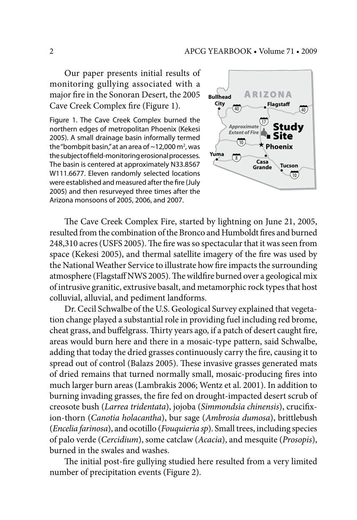Our paper presents initial results of monitoring gullying associated with a major fire in the Sonoran Desert, the 2005 Cave Creek Complex fire (Figure 1).

Figure 1. The Cave Creek Complex burned the northern edges of metropolitan Phoenix (Kekesi 2005). A small drainage basin informally termed the "bombpit basin," at an area of  $\sim$ 12,000 m<sup>2</sup>, was the subject of field-monitoring erosional processes. The basin is centered at approximately N33.8567 W111.6677. Eleven randomly selected locations were established and measured after the fire (July 2005) and then resurveyed three times after the Arizona monsoons of 2005, 2006, and 2007.



The Cave Creek Complex Fire, started by lightning on June 21, 2005, resulted from the combination of the Bronco and Humboldt fires and burned 248,310 acres (USFS 2005). The fire was so spectacular that it was seen from space (Kekesi 2005), and thermal satellite imagery of the fire was used by the National Weather Service to illustrate how fire impacts the surrounding atmosphere (Flagstaff NWS 2005). The wildfire burned over a geological mix of intrusive granitic, extrusive basalt, and metamorphic rock types that host colluvial, alluvial, and pediment landforms.

Dr. Cecil Schwalbe of the U.S. Geological Survey explained that vegetation change played a substantial role in providing fuel including red brome, cheat grass, and buffelgrass. Thirty years ago, if a patch of desert caught fire, areas would burn here and there in a mosaic-type pattern, said Schwalbe, adding that today the dried grasses continuously carry the fire, causing it to spread out of control (Balazs 2005). These invasive grasses generated mats of dried remains that turned normally small, mosaic-producing fires into much larger burn areas (Lambrakis 2006; Wentz et al. 2001). In addition to burning invading grasses, the fire fed on drought-impacted desert scrub of creosote bush (*Larrea tridentata*), jojoba (*Simmondsia chinensis*), crucifixion-thorn (*Canotia holacantha*), bur sage (*Ambrosia dumosa*), brittlebush (*Encelia farinosa*), and ocotillo (*Fouquieria sp*). Small trees, including species of palo verde (*Cercidium*), some catclaw (*Acacia*), and mesquite (*Prosopis*), burned in the swales and washes.

The initial post-fire gullying studied here resulted from a very limited number of precipitation events (Figure 2).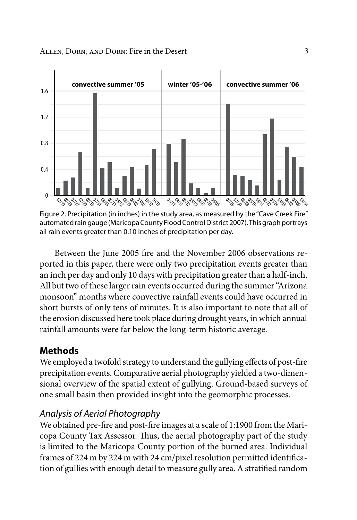

Figure 2. Precipitation (in inches) in the study area, as measured by the "Cave Creek Fire" automated rain gauge (Maricopa County Flood Control District 2007). This graph portrays all rain events greater than 0.10 inches of precipitation per day.

Between the June 2005 fire and the November 2006 observations reported in this paper, there were only two precipitation events greater than an inch per day and only 10 days with precipitation greater than a half-inch. All but two of these larger rain events occurred during the summer "Arizona monsoon" months where convective rainfall events could have occurred in short bursts of only tens of minutes. It is also important to note that all of the erosion discussed here took place during drought years, in which annual rainfall amounts were far below the long-term historic average.

# **Methods**

We employed a twofold strategy to understand the gullying effects of post-fire precipitation events. Comparative aerial photography yielded a two-dimensional overview of the spatial extent of gullying. Ground-based surveys of one small basin then provided insight into the geomorphic processes.

# *Analysis of Aerial Photography*

We obtained pre-fire and post-fire images at a scale of 1:1900 from the Maricopa County Tax Assessor. Thus, the aerial photography part of the study is limited to the Maricopa County portion of the burned area. Individual frames of 224 m by 224 m with 24 cm/pixel resolution permitted identification of gullies with enough detail to measure gully area. A stratified random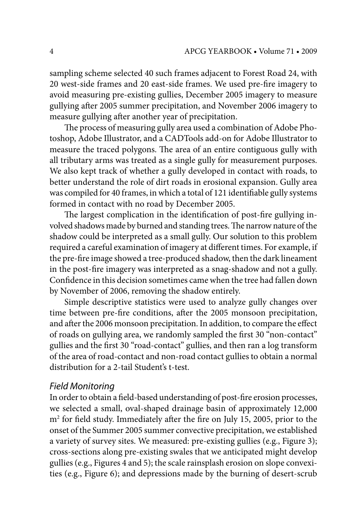sampling scheme selected 40 such frames adjacent to Forest Road 24, with 20 west-side frames and 20 east-side frames. We used pre-fire imagery to avoid measuring pre-existing gullies, December 2005 imagery to measure gullying after 2005 summer precipitation, and November 2006 imagery to measure gullying after another year of precipitation.

The process of measuring gully area used a combination of Adobe Photoshop, Adobe Illustrator, and a CADTools add-on for Adobe Illustrator to measure the traced polygons. The area of an entire contiguous gully with all tributary arms was treated as a single gully for measurement purposes. We also kept track of whether a gully developed in contact with roads, to better understand the role of dirt roads in erosional expansion. Gully area was compiled for 40 frames, in which a total of 121 identifiable gully systems formed in contact with no road by December 2005.

The largest complication in the identification of post-fire gullying involved shadows made by burned and standing trees. The narrow nature of the shadow could be interpreted as a small gully. Our solution to this problem required a careful examination of imagery at different times. For example, if the pre-fire image showed a tree-produced shadow, then the dark lineament in the post-fire imagery was interpreted as a snag-shadow and not a gully. Confidence in this decision sometimes came when the tree had fallen down by November of 2006, removing the shadow entirely.

Simple descriptive statistics were used to analyze gully changes over time between pre-fire conditions, after the 2005 monsoon precipitation, and after the 2006 monsoon precipitation. In addition, to compare the effect of roads on gullying area, we randomly sampled the first 30 "non-contact" gullies and the first 30 "road-contact" gullies, and then ran a log transform of the area of road-contact and non-road contact gullies to obtain a normal distribution for a 2-tail Student's t-test.

#### *Field Monitoring*

In order to obtain a field-based understanding of post-fire erosion processes, we selected a small, oval-shaped drainage basin of approximately 12,000 m2 for field study. Immediately after the fire on July 15, 2005, prior to the onset of the Summer 2005 summer convective precipitation, we established a variety of survey sites. We measured: pre-existing gullies (e.g., Figure 3); cross-sections along pre-existing swales that we anticipated might develop gullies (e.g., Figures 4 and 5); the scale rainsplash erosion on slope convexities (e.g., Figure 6); and depressions made by the burning of desert-scrub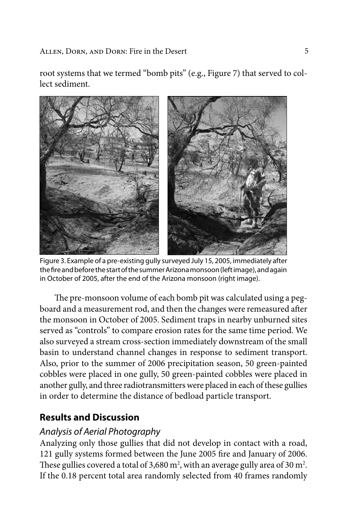root systems that we termed "bomb pits" (e.g., Figure 7) that served to collect sediment.



Figure 3. Example of a pre-existing gully surveyed July 15, 2005, immediately after the fire and before the start of the summer Arizona monsoon (left image), and again in October of 2005, after the end of the Arizona monsoon (right image).

The pre-monsoon volume of each bomb pit was calculated using a pegboard and a measurement rod, and then the changes were remeasured after the monsoon in October of 2005. Sediment traps in nearby unburned sites served as "controls" to compare erosion rates for the same time period. We also surveyed a stream cross-section immediately downstream of the small basin to understand channel changes in response to sediment transport. Also, prior to the summer of 2006 precipitation season, 50 green-painted cobbles were placed in one gully, 50 green-painted cobbles were placed in another gully, and three radiotransmitters were placed in each of these gullies in order to determine the distance of bedload particle transport.

# **Results and Discussion**

# *Analysis of Aerial Photography*

Analyzing only those gullies that did not develop in contact with a road, 121 gully systems formed between the June 2005 fire and January of 2006. These gullies covered a total of 3,680  $m^2$ , with an average gully area of 30  $m^2$ . If the 0.18 percent total area randomly selected from 40 frames randomly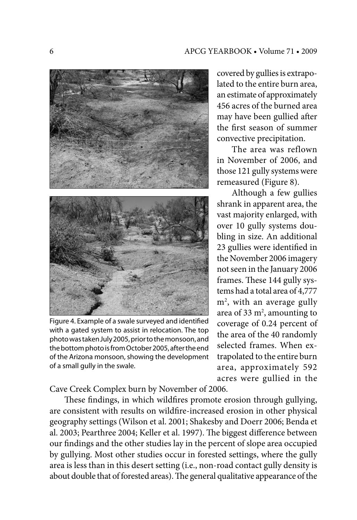

Figure 4. Example of a swale surveyed and identified with a gated system to assist in relocation. The top photo was taken July 2005, prior to the monsoon, and the bottom photo is from October 2005, after the end of the Arizona monsoon, showing the development of a small gully in the swale.

covered by gullies is extrapolated to the entire burn area, an estimate of approximately 456 acres of the burned area may have been gullied after the first season of summer convective precipitation.

The area was reflown in November of 2006, and those 121 gully systems were remeasured (Figure 8).

Although a few gullies shrank in apparent area, the vast majority enlarged, with over 10 gully systems doubling in size. An additional 23 gullies were identified in the November 2006 imagery not seen in the January 2006 frames. These 144 gully systems had a total area of 4,777 m2 , with an average gully area of 33  $m^2$ , amounting to coverage of 0.24 percent of the area of the 40 randomly selected frames. When extrapolated to the entire burn area, approximately 592 acres were gullied in the

Cave Creek Complex burn by November of 2006.

These findings, in which wildfires promote erosion through gullying, are consistent with results on wildfire-increased erosion in other physical geography settings (Wilson et al. 2001; Shakesby and Doerr 2006; Benda et al. 2003; Pearthree 2004; Keller et al. 1997). The biggest difference between our findings and the other studies lay in the percent of slope area occupied by gullying. Most other studies occur in forested settings, where the gully area is less than in this desert setting (i.e., non-road contact gully density is about double that of forested areas). The general qualitative appearance of the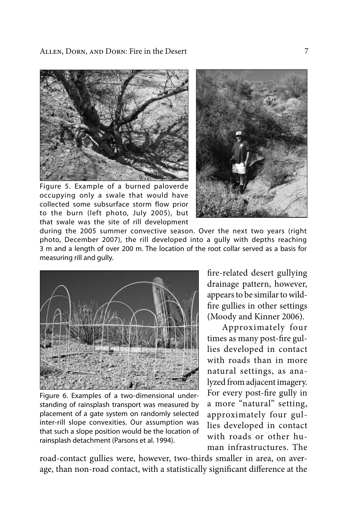Allen, Dorn, and Dorn: Fire in the Desert



Figure 5. Example of a burned paloverde occupying only a swale that would have collected some subsurface storm flow prior to the burn (left photo, July 2005), but that swale was the site of rill development



during the 2005 summer convective season. Over the next two years (right photo, December 2007), the rill developed into a gully with depths reaching 3 m and a length of over 200 m. The location of the root collar served as a basis for measuring rill and gully.



Figure 6. Examples of a two-dimensional understanding of rainsplash transport was measured by placement of a gate system on randomly selected inter-rill slope convexities. Our assumption was that such a slope position would be the location of rainsplash detachment (Parsons et al. 1994).

fire-related desert gullying drainage pattern, however, appears to be similar to wildfire gullies in other settings (Moody and Kinner 2006).

Approximately four times as many post-fire gullies developed in contact with roads than in more natural settings, as analyzed from adjacent imagery. For every post-fire gully in a more "natural" setting, approximately four gullies developed in contact with roads or other human infrastructures. The

road-contact gullies were, however, two-thirds smaller in area, on average, than non-road contact, with a statistically significant difference at the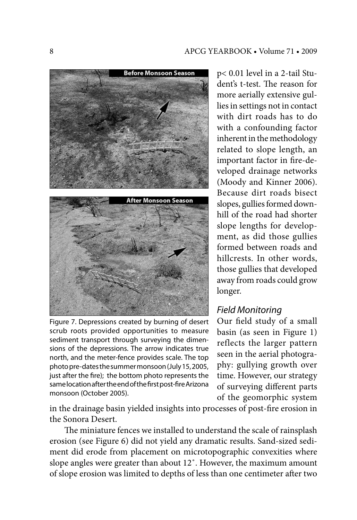

Figure 7. Depressions created by burning of desert scrub roots provided opportunities to measure sediment transport through surveying the dimensions of the depressions. The arrow indicates true north, and the meter-fence provides scale. The top photo pre-dates the summer monsoon (July 15, 2005, just after the fire); the bottom photo represents the same location after the end of the first post-fire Arizona monsoon (October 2005).

p< 0.01 level in a 2-tail Student's t-test. The reason for more aerially extensive gullies in settings not in contact with dirt roads has to do with a confounding factor inherent in the methodology related to slope length, an important factor in fire-developed drainage networks (Moody and Kinner 2006). Because dirt roads bisect slopes, gullies formed downhill of the road had shorter slope lengths for development, as did those gullies formed between roads and hillcrests. In other words, those gullies that developed away from roads could grow longer.

# *Field Monitoring*

Our field study of a small basin (as seen in Figure 1) reflects the larger pattern seen in the aerial photography: gullying growth over time. However, our strategy of surveying different parts of the geomorphic system

in the drainage basin yielded insights into processes of post-fire erosion in the Sonora Desert.

The miniature fences we installed to understand the scale of rainsplash erosion (see Figure 6) did not yield any dramatic results. Sand-sized sediment did erode from placement on microtopographic convexities where slope angles were greater than about 12˚. However, the maximum amount of slope erosion was limited to depths of less than one centimeter after two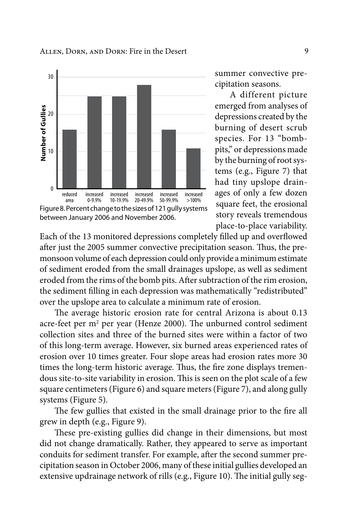

summer convective precipitation seasons.

A different picture emerged from analyses of depressions created by the burning of desert scrub species. For 13 "bombpits," or depressions made by the burning of root systems (e.g., Figure 7) that had tiny upslope drainages of only a few dozen square feet, the erosional story reveals tremendous place-to-place variability.

Each of the 13 monitored depressions completely filled up and overflowed after just the 2005 summer convective precipitation season. Thus, the premonsoon volume of each depression could only provide a minimum estimate of sediment eroded from the small drainages upslope, as well as sediment eroded from the rims of the bomb pits. After subtraction of the rim erosion, the sediment filling in each depression was mathematically "redistributed" over the upslope area to calculate a minimum rate of erosion.

The average historic erosion rate for central Arizona is about 0.13 acre-feet per m<sup>2</sup> per year (Henze 2000). The unburned control sediment collection sites and three of the burned sites were within a factor of two of this long-term average. However, six burned areas experienced rates of erosion over 10 times greater. Four slope areas had erosion rates more 30 times the long-term historic average. Thus, the fire zone displays tremendous site-to-site variability in erosion. This is seen on the plot scale of a few square centimeters (Figure 6) and square meters (Figure 7), and along gully systems (Figure 5).

The few gullies that existed in the small drainage prior to the fire all grew in depth (e.g., Figure 9).

These pre-existing gullies did change in their dimensions, but most did not change dramatically. Rather, they appeared to serve as important conduits for sediment transfer. For example, after the second summer precipitation season in October 2006, many of these initial gullies developed an extensive updrainage network of rills (e.g., Figure 10). The initial gully seg-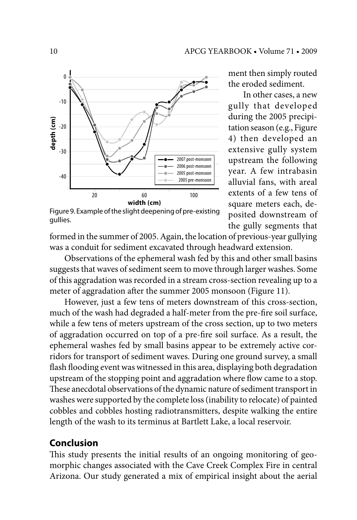

Figure 9. Example of the slight deepening of pre-existing gullies.

ment then simply routed the eroded sediment.

In other cases, a new gully that developed during the 2005 precipitation season (e.g., Figure 4) then developed an extensive gully system upstream the following year. A few intrabasin alluvial fans, with areal extents of a few tens of square meters each, deposited downstream of the gully segments that

formed in the summer of 2005. Again, the location of previous-year gullying was a conduit for sediment excavated through headward extension.

Observations of the ephemeral wash fed by this and other small basins suggests that waves of sediment seem to move through larger washes. Some of this aggradation was recorded in a stream cross-section revealing up to a meter of aggradation after the summer 2005 monsoon (Figure 11).

However, just a few tens of meters downstream of this cross-section, much of the wash had degraded a half-meter from the pre-fire soil surface, while a few tens of meters upstream of the cross section, up to two meters of aggradation occurred on top of a pre-fire soil surface. As a result, the ephemeral washes fed by small basins appear to be extremely active corridors for transport of sediment waves. During one ground survey, a small flash flooding event was witnessed in this area, displaying both degradation upstream of the stopping point and aggradation where flow came to a stop. These anecdotal observations of the dynamic nature of sediment transport in washes were supported by the complete loss (inability to relocate) of painted cobbles and cobbles hosting radiotransmitters, despite walking the entire length of the wash to its terminus at Bartlett Lake, a local reservoir.

# **Conclusion**

This study presents the initial results of an ongoing monitoring of geomorphic changes associated with the Cave Creek Complex Fire in central Arizona. Our study generated a mix of empirical insight about the aerial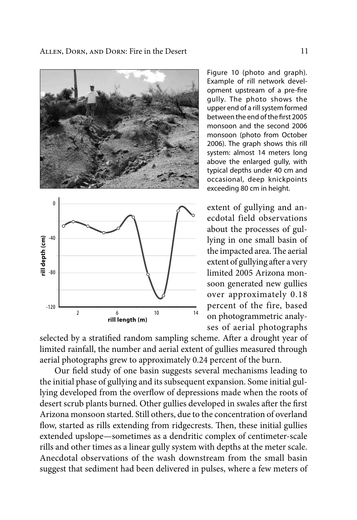

Figure 10 (photo and graph). Example of rill network development upstream of a pre-fire gully. The photo shows the upper end of a rill system formed between the end of the first 2005 monsoon and the second 2006 monsoon (photo from October 2006). The graph shows this rill system: almost 14 meters long above the enlarged gully, with typical depths under 40 cm and occasional, deep knickpoints exceeding 80 cm in height.

extent of gullying and anecdotal field observations about the processes of gullying in one small basin of the impacted area. The aerial extent of gullying after a very limited 2005 Arizona monsoon generated new gullies over approximately 0.18 percent of the fire, based on photogrammetric analyses of aerial photographs

selected by a stratified random sampling scheme. After a drought year of limited rainfall, the number and aerial extent of gullies measured through aerial photographs grew to approximately 0.24 percent of the burn.

Our field study of one basin suggests several mechanisms leading to the initial phase of gullying and its subsequent expansion. Some initial gullying developed from the overflow of depressions made when the roots of desert scrub plants burned. Other gullies developed in swales after the first Arizona monsoon started. Still others, due to the concentration of overland flow, started as rills extending from ridgecrests. Then, these initial gullies extended upslope—sometimes as a dendritic complex of centimeter-scale rills and other times as a linear gully system with depths at the meter scale. Anecdotal observations of the wash downstream from the small basin suggest that sediment had been delivered in pulses, where a few meters of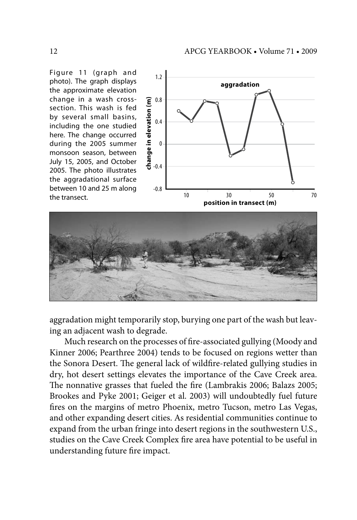Figure 11 (graph and photo). The graph displays the approximate elevation change in a wash crosssection. This wash is fed by several small basins, including the one studied here. The change occurred during the 2005 summer monsoon season, between July 15, 2005, and October 2005. The photo illustrates the aggradational surface between 10 and 25 m along the transect.





aggradation might temporarily stop, burying one part of the wash but leaving an adjacent wash to degrade.

Much research on the processes of fire-associated gullying (Moody and Kinner 2006; Pearthree 2004) tends to be focused on regions wetter than the Sonora Desert. The general lack of wildfire-related gullying studies in dry, hot desert settings elevates the importance of the Cave Creek area. The nonnative grasses that fueled the fire (Lambrakis 2006; Balazs 2005; Brookes and Pyke 2001; Geiger et al. 2003) will undoubtedly fuel future fires on the margins of metro Phoenix, metro Tucson, metro Las Vegas, and other expanding desert cities. As residential communities continue to expand from the urban fringe into desert regions in the southwestern U.S., studies on the Cave Creek Complex fire area have potential to be useful in understanding future fire impact.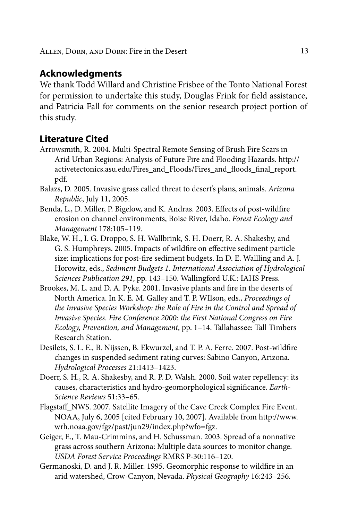### **Acknowledgments**

We thank Todd Willard and Christine Frisbee of the Tonto National Forest for permission to undertake this study, Douglas Frink for field assistance, and Patricia Fall for comments on the senior research project portion of this study.

## **Literature Cited**

- Arrowsmith, R. 2004. Multi-Spectral Remote Sensing of Brush Fire Scars in Arid Urban Regions: Analysis of Future Fire and Flooding Hazards. http:// activetectonics.asu.edu/Fires\_and\_Floods/Fires\_and\_floods\_final\_report. pdf.
- Balazs, D. 2005. Invasive grass called threat to desert's plans, animals. *Arizona Republic*, July 11, 2005.
- Benda, L., D. Miller, P. Bigelow, and K. Andras. 2003. Effects of post-wildfire erosion on channel environments, Boise River, Idaho. *Forest Ecology and Management* 178:105–119.
- Blake, W. H., I. G. Droppo, S. H. Wallbrink, S. H. Doerr, R. A. Shakesby, and G. S. Humphreys. 2005. Impacts of wildfire on effective sediment particle size: implications for post-fire sediment budgets. In D. E. Wallling and A. J. Horowitz, eds., *Sediment Budgets 1. International Association of Hydrological Sciences Publication 291*, pp. 143–150. Wallingford U.K.: IAHS Press.
- Brookes, M. L. and D. A. Pyke. 2001. Invasive plants and fire in the deserts of North America. In K. E. M. Galley and T. P. WIlson, eds., *Proceedings of the Invasive Species Workshop: the Role of Fire in the Control and Spread of Invasive Species*. *Fire Conference 2000: the First National Congress on Fire Ecology, Prevention, and Management*, pp. 1–14. Tallahassee: Tall Timbers Research Station.
- Desilets, S. L. E., B. Nijssen, B. Ekwurzel, and T. P. A. Ferre. 2007. Post-wildfire changes in suspended sediment rating curves: Sabino Canyon, Arizona. *Hydrological Processes* 21:1413–1423.
- Doerr, S. H., R. A. Shakesby, and R. P. D. Walsh. 2000. Soil water repellency: its causes, characteristics and hydro-geomorphological significance. *Earth-Science Reviews* 51:33–65.
- Flagstaff\_NWS. 2007. Satellite Imagery of the Cave Creek Complex Fire Event. NOAA, July 6, 2005 [cited February 10, 2007]. Available from http://www. wrh.noaa.gov/fgz/past/jun29/index.php?wfo=fgz.
- Geiger, E., T. Mau-Crimmins, and H. Schussman. 2003. Spread of a nonnative grass across southern Arizona: Multiple data sources to monitor change. *USDA Forest Service Proceedings* RMRS P-30:116–120.
- Germanoski, D. and J. R. Miller. 1995. Geomorphic response to wildfire in an arid watershed, Crow-Canyon, Nevada. *Physical Geography* 16:243–256.